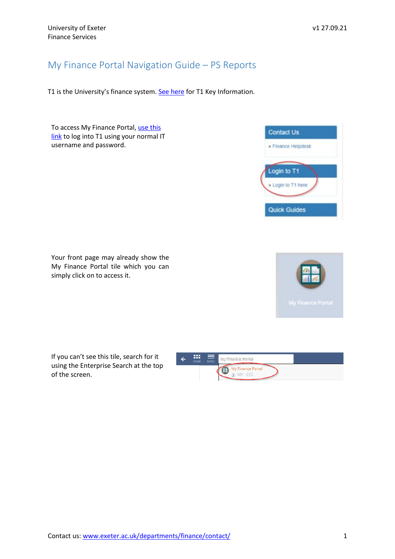## My Finance Portal Navigation Guide – PS Reports

T1 is the University's finance system. [See here](https://www.exeter.ac.uk/media/universityofexeter/financeservices/t1manualsworkbooksguides/2019_T1_Induction_Crib_Sheet_v1_29.08.18.pdf) for T1 Key Information.

To access My Finance Portal, use this [link](https://www.exeter.ac.uk/departments/finance/training/) to log into T1 using your normal IT username and password.



Your front page may already show the My Finance Portal tile which you can simply click on to access it.



If you can't see this tile, search for it using the Enterprise Search at the top of the screen.

| HOME | <b>SEP</b><br><b>MENU</b> | <b>The Second Second</b>               |  |
|------|---------------------------|----------------------------------------|--|
|      |                           | My Finance Portal<br><b>D</b> MY - CES |  |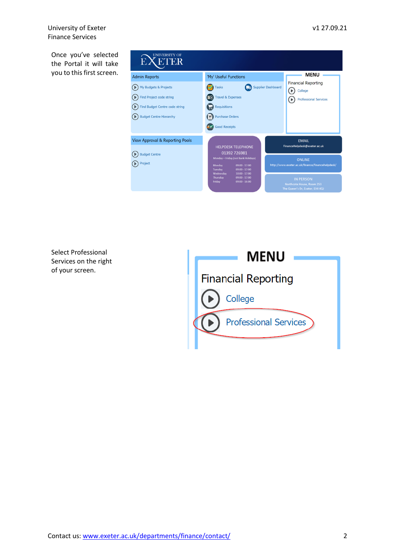University of Exeter v1 27.09.21 Finance Services

Once you've selected the Portal it will take you to this first screen.

| <b>UNIVERSITY OF</b><br>ETER<br>Е.                                                                                    |                                                                                                                                                    |                                                                                  |  |  |  |
|-----------------------------------------------------------------------------------------------------------------------|----------------------------------------------------------------------------------------------------------------------------------------------------|----------------------------------------------------------------------------------|--|--|--|
| <b>Admin Reports</b>                                                                                                  | 'My' Useful Functions                                                                                                                              | <b>MENU</b>                                                                      |  |  |  |
| My Budgets & Projects<br>Find Project code string<br>Find Budget Centre code string<br><b>Budget Centre Hierarchy</b> | <b>Tasks</b><br><b>Supplier Dashboard</b><br><b>Travel &amp; Expenses</b><br><b>Requisitions</b><br><b>Purchase Orders</b><br><b>Good Receipts</b> | <b>Financial Reporting</b><br>College<br><b>Professional Services</b>            |  |  |  |
| View Approval & Reporting Pools                                                                                       | <b>HELPDESK TELEPHONE</b>                                                                                                                          | <b>EMAIL</b><br>FinanceHelpdesk@exeter.ac.uk                                     |  |  |  |
| <b>Budget Centre</b><br>Project                                                                                       | 01392 726981<br>Monday - Friday (not Bank Holidays)<br>Monday<br>$09:00 - 17:00$<br>$09:00 - 17:00$<br>Tuesday                                     | <b>ONLINE</b><br>http://www.exeter.ac.uk/finance/financehelpdesk/                |  |  |  |
|                                                                                                                       | Wednesday<br>$10:00 - 17:00$<br>Thursday<br>$09:00 - 17:00$<br>Friday<br>$09:00 - 16:00$                                                           | <b>IN PERSON</b><br>Northcote House, Room 253<br>The Queen's Dr. Exeter, EX4 4QJ |  |  |  |

Select Professional Services on the right of your screen.